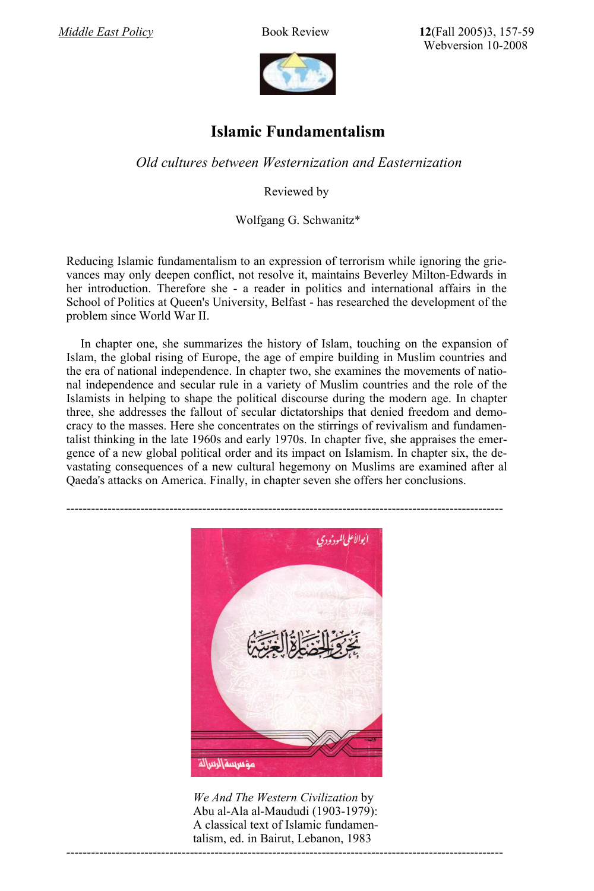*[Middle East Policy](http://mepc.org/journal_vol12/0509_schwanitz.asp)* Book Review **12**(Fall 2005)3, 157-59 Webversion 10-2008



## **Islamic Fundamentalism**

 *Old cultures between Westernization and Easternization*

Reviewed by

Wolfgang G. Schwanitz\*

Reducing Islamic fundamentalism to an expression of terrorism while ignoring the grievances may only deepen conflict, not resolve it, maintains Beverley Milton-Edwards in her introduction. Therefore she - a reader in politics and international affairs in the School of Politics at Queen's University, Belfast - has researched the development of the problem since World War II.

In chapter one, she summarizes the history of Islam, touching on the expansion of Islam, the global rising of Europe, the age of empire building in Muslim countries and the era of national independence. In chapter two, she examines the movements of national independence and secular rule in a variety of Muslim countries and the role of the Islamists in helping to shape the political discourse during the modern age. In chapter three, she addresses the fallout of secular dictatorships that denied freedom and democracy to the masses. Here she concentrates on the stirrings of revivalism and fundamentalist thinking in the late 1960s and early 1970s. In chapter five, she appraises the emergence of a new global political order and its impact on Islamism. In chapter six, the devastating consequences of a new cultural hegemony on Muslims are examined after al Qaeda's attacks on America. Finally, in chapter seven she offers her conclusions.



 *We And The Western Civilization* by Abu al-Ala al-Maududi (1903-1979): A classical text of Islamic fundamen talism, ed. in Bairut, Lebanon, 1983 ----------------------------------------------------------------------------------------------------------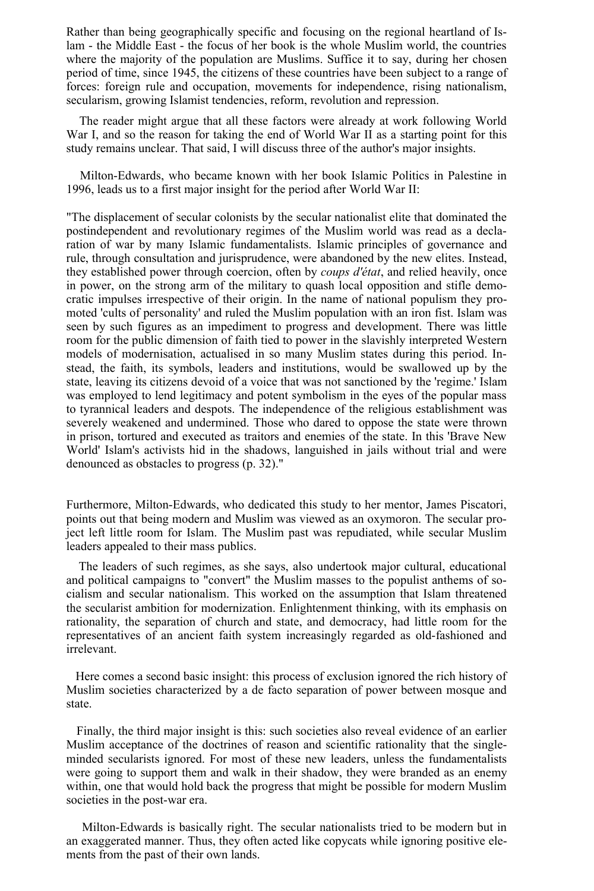Rather than being geographically specific and focusing on the regional heartland of Islam - the Middle East - the focus of her book is the whole Muslim world, the countries where the majority of the population are Muslims. Suffice it to say, during her chosen period of time, since 1945, the citizens of these countries have been subject to a range of forces: foreign rule and occupation, movements for independence, rising nationalism, secularism, growing Islamist tendencies, reform, revolution and repression.

The reader might argue that all these factors were already at work following World War I, and so the reason for taking the end of World War II as a starting point for this study remains unclear. That said, I will discuss three of the author's major insights.

Milton-Edwards, who became known with her book Islamic Politics in Palestine in 1996, leads us to a first major insight for the period after World War II:

"The displacement of secular colonists by the secular nationalist elite that dominated the postindependent and revolutionary regimes of the Muslim world was read as a declaration of war by many Islamic fundamentalists. Islamic principles of governance and rule, through consultation and jurisprudence, were abandoned by the new elites. Instead, they established power through coercion, often by *coups d'état*, and relied heavily, once in power, on the strong arm of the military to quash local opposition and stifle democratic impulses irrespective of their origin. In the name of national populism they promoted 'cults of personality' and ruled the Muslim population with an iron fist. Islam was seen by such figures as an impediment to progress and development. There was little room for the public dimension of faith tied to power in the slavishly interpreted Western models of modernisation, actualised in so many Muslim states during this period. Instead, the faith, its symbols, leaders and institutions, would be swallowed up by the state, leaving its citizens devoid of a voice that was not sanctioned by the 'regime.' Islam was employed to lend legitimacy and potent symbolism in the eyes of the popular mass to tyrannical leaders and despots. The independence of the religious establishment was severely weakened and undermined. Those who dared to oppose the state were thrown in prison, tortured and executed as traitors and enemies of the state. In this 'Brave New World' Islam's activists hid in the shadows, languished in jails without trial and were denounced as obstacles to progress (p. 32)."

Furthermore, Milton-Edwards, who dedicated this study to her mentor, James Piscatori, points out that being modern and Muslim was viewed as an oxymoron. The secular project left little room for Islam. The Muslim past was repudiated, while secular Muslim leaders appealed to their mass publics.

The leaders of such regimes, as she says, also undertook major cultural, educational and political campaigns to "convert" the Muslim masses to the populist anthems of socialism and secular nationalism. This worked on the assumption that Islam threatened the secularist ambition for modernization. Enlightenment thinking, with its emphasis on rationality, the separation of church and state, and democracy, had little room for the representatives of an ancient faith system increasingly regarded as old-fashioned and irrelevant.

 Here comes a second basic insight: this process of exclusion ignored the rich history of Muslim societies characterized by a de facto separation of power between mosque and state.

Finally, the third major insight is this: such societies also reveal evidence of an earlier Muslim acceptance of the doctrines of reason and scientific rationality that the singleminded secularists ignored. For most of these new leaders, unless the fundamentalists were going to support them and walk in their shadow, they were branded as an enemy within, one that would hold back the progress that might be possible for modern Muslim societies in the post-war era.

Milton-Edwards is basically right. The secular nationalists tried to be modern but in an exaggerated manner. Thus, they often acted like copycats while ignoring positive elements from the past of their own lands.